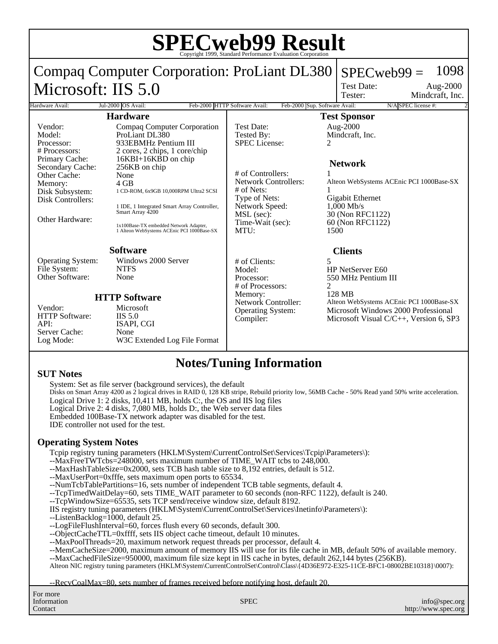| <b>SPECweb99 Result</b>                                                                                                        |                                                                                                                                                                                                                    |                                                                                                                                               |                                                                                                                                                                                                                                 |
|--------------------------------------------------------------------------------------------------------------------------------|--------------------------------------------------------------------------------------------------------------------------------------------------------------------------------------------------------------------|-----------------------------------------------------------------------------------------------------------------------------------------------|---------------------------------------------------------------------------------------------------------------------------------------------------------------------------------------------------------------------------------|
|                                                                                                                                | Compaq Computer Corporation: ProLiant DL380                                                                                                                                                                        |                                                                                                                                               | 1098<br>$SPECweb99 =$<br><b>Test Date:</b><br>Aug-2000                                                                                                                                                                          |
| Microsoft: IIS 5.0                                                                                                             |                                                                                                                                                                                                                    |                                                                                                                                               | Mindcraft, Inc.<br>Tester:                                                                                                                                                                                                      |
| N/A SPEC license #:<br>Feb-2000 HTTP Software Avail:<br>Feb-2000 Sup. Software Avail:<br>Jul-2000 OS Avail:<br>Hardware Avail: |                                                                                                                                                                                                                    |                                                                                                                                               |                                                                                                                                                                                                                                 |
| <b>Hardware</b>                                                                                                                |                                                                                                                                                                                                                    | <b>Test Sponsor</b>                                                                                                                           |                                                                                                                                                                                                                                 |
| Vendor:<br>Model:<br>Processor:<br># Processors:<br>Primary Cache:<br>Secondary Cache:                                         | Compaq Computer Corporation<br>ProLiant DL380<br>933EBMHz Pentium III<br>2 cores, 2 chips, 1 core/chip<br>16KBI+16KBD on chip<br>256KB on chip                                                                     | <b>Test Date:</b><br>Tested By:<br><b>SPEC</b> License:                                                                                       | Aug-2000<br>Mindcraft, Inc.<br>2<br><b>Network</b>                                                                                                                                                                              |
| Other Cache:<br>Memory:<br>Disk Subsystem:<br>Disk Controllers:<br>Other Hardware:                                             | None<br>$4$ GB<br>1 CD-ROM, 6x9GB 10,000RPM Ultra2 SCSI<br>1 IDE, 1 Integrated Smart Array Controller,<br>Smart Array 4200<br>1x100Base-TX embedded Network Adapter,<br>1 Alteon WebSystems ACEnic PCI 1000Base-SX | # of Controllers:<br><b>Network Controllers:</b><br>$#$ of Nets:<br>Type of Nets:<br>Network Speed:<br>MSL (sec):<br>Time-Wait (sec):<br>MTU: | Alteon WebSystems ACEnic PCI 1000Base-SX<br>Gigabit Ethernet<br>$1,000$ Mb/s<br>30 (Non RFC1122)<br>60 (Non RFC1122)<br>1500                                                                                                    |
| <b>Software</b>                                                                                                                |                                                                                                                                                                                                                    | <b>Clients</b>                                                                                                                                |                                                                                                                                                                                                                                 |
| <b>Operating System:</b><br>File System:<br>Other Software:<br>Vendor:<br><b>HTTP Software:</b><br>API:<br>Server Cache:       | Windows 2000 Server<br><b>NTFS</b><br><b>None</b><br><b>HTTP Software</b><br>Microsoft<br>$\overline{I}$ IIS 5.0<br>ISAPI, CGI<br>None                                                                             | # of Clients:<br>Model:<br>Processor:<br># of Processors:<br>Memory:<br>Network Controller:<br>Operating System:<br>Compiler:                 | $\overline{\phantom{0}}$<br>HP NetServer E60<br>550 MHz Pentium III<br>$\mathfrak{D}$<br>128 MB<br>Alteon WebSystems ACEnic PCI 1000Base-SX<br>Microsoft Windows 2000 Professional<br>Microsoft Visual $C/C++$ , Version 6, SP3 |
| Log Mode:                                                                                                                      | W3C Extended Log File Format                                                                                                                                                                                       |                                                                                                                                               |                                                                                                                                                                                                                                 |

## **Notes/Tuning Information**

#### **SUT Notes**

System: Set as file server (background services), the default Disks on Smart Array 4200 as 2 logical drives in RAID 0, 128 KB stripe, Rebuild priority low, 56MB Cache - 50% Read yand 50% write acceleration. Logical Drive 1: 2 disks, 10,411 MB, holds C:, the OS and IIS log files Logical Drive 2: 4 disks, 7,080 MB, holds D:, the Web server data files Embedded 100Base-TX network adapter was disabled for the test. IDE controller not used for the test.

#### **Operating System Notes**

Tcpip registry tuning parameters (HKLM\System\CurrentControlSet\Services\Tcpip\Parameters\):

--MaxFreeTWTcbs=248000, sets maximum number of TIME\_WAIT tcbs to 248,000.

- --MaxHashTableSize=0x2000, sets TCB hash table size to 8,192 entries, default is 512.
- --MaxUserPort=0xfffe, sets maximum open ports to 65534.
- --NumTcbTablePartitions=16, sets number of independent TCB table segments, default 4.
- --TcpTimedWaitDelay=60, sets TIME\_WAIT parameter to 60 seconds (non-RFC 1122), default is 240.
- --TcpWindowSize=65535, sets TCP send/receive window size, default 8192.
- IIS registry tuning parameters (HKLM\System\CurrentControlSet\Services\Inetinfo\Parameters\):
- --ListenBacklog=1000, default 25.
- --LogFileFlushInterval=60, forces flush every 60 seconds, default 300.
- --ObjectCacheTTL=0xffff, sets IIS object cache timeout, default 10 minutes.
- --MaxPoolThreads=20, maximum network request threads per processor, default 4.
- --MemCacheSize=2000, maximum amount of memory IIS will use for its file cache in MB, default 50% of available memory.
- --MaxCachedFileSize=950000, maximum file size kept in IIS cache in bytes, default 262,144 bytes (256KB).

Alteon NIC registry tuning parameters (HKLM\System\CurrentControlSet\Control\Class\{4D36E972-E325-11CE-BFC1-08002BE10318}\0007):

--RecvCoalMax=80, sets number of frames received before notifying host, default 20.